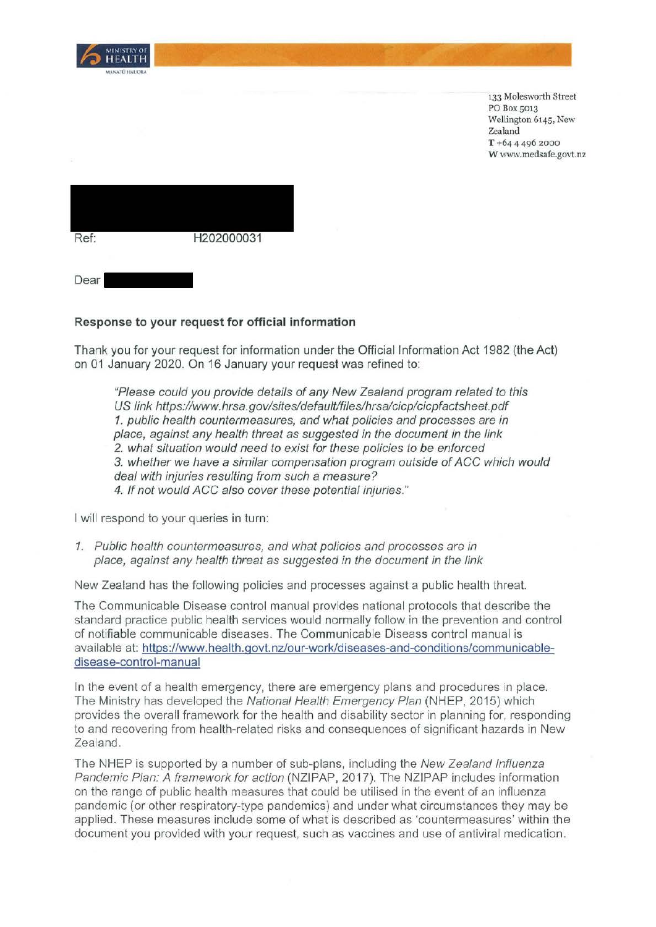

133 Molesworth Street PO Box 5013 Wellington 6145, New Zealand **T** +64 4 496 2000 **W** www.medsafe.govt.nz

| Ref: | H202000031 |
|------|------------|
| Dear |            |

## **Response to your request for official information**

Thank you for your request for information under the Official Information Act 1982 (the Act) on 01 January 2020. On 16 January your request was refined to:

"Please could you provide details of any New Zealand program related to this US link https://www.hrsa.gov/sites/default/files/hrsa/cicp/cicpfactsheet.pdf 1. public health countermeasures, and what policies and processes are in place, against any health threat as suggested in the document in the link 2. what situation would need to exist for these policies to be enforced 3. whether we have a similar compensation program outside of ACC which would deal with injuries resulting from such a measure? 4. If not would ACC also cover these potential injuries."

I will respond to your queries in turn:

1. Public health countermeasures, and what policies and processes are in place, against any health threat as suggested in the document in the link

New Zealand has the following policies and processes against a public health threat.

The Communicable Disease control manual provides national protocols that describe the standard practice public health services would normally follow in the prevention and control of notifiable communicable diseases. The Communicable Diseass control manual is available at: https://www.health.govt.nz/our-work/diseases-and-conditions/communicabledisease-control-manual

In the event of a health emergency, there are emergency plans and procedures in place. The Ministry has developed the National Health Emergency Plan (NHEP, 2015) which provides the overall framework for the health and disability sector in planning for, responding to and recovering from health-related risks and consequences of significant hazards in New Zealand.

The NHEP is supported by a number of sub-plans, including the New Zealand Influenza Pandemic Plan: A framework for action (NZIPAP, 2017). The NZIPAP includes information on the range of public health measures that could be utilised in the event of an influenza pandemic (or other respiratory-type pandemics) and under what circumstances they may be applied. These measures include some of what is described as 'countermeasures' within the document you provided with your request, such as vaccines and use of antiviral medication.